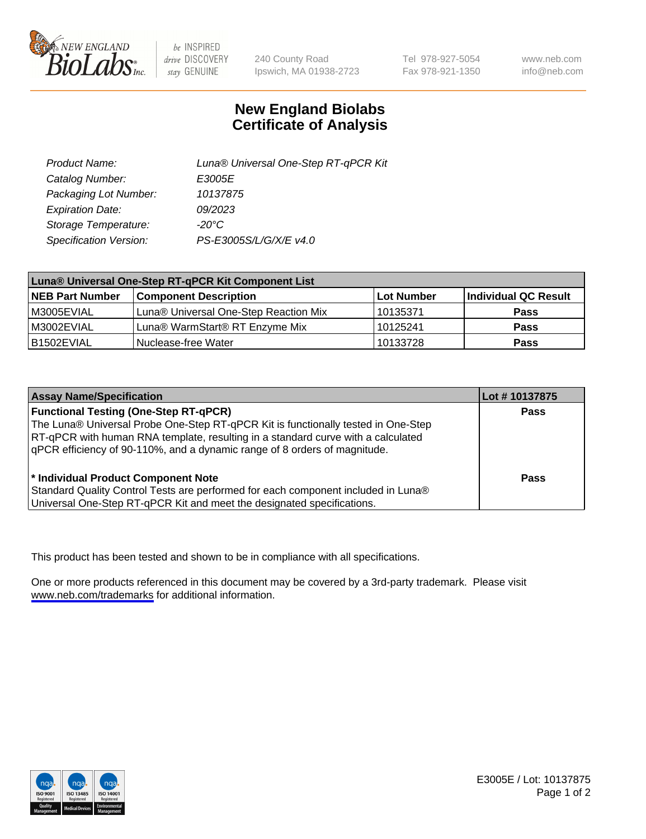

be INSPIRED drive DISCOVERY stay GENUINE

240 County Road Ipswich, MA 01938-2723 Tel 978-927-5054 Fax 978-921-1350

www.neb.com info@neb.com

## **New England Biolabs Certificate of Analysis**

| Product Name:           | Luna® Universal One-Step RT-qPCR Kit |  |
|-------------------------|--------------------------------------|--|
| Catalog Number:         | E3005E                               |  |
| Packaging Lot Number:   | 10137875                             |  |
| <b>Expiration Date:</b> | 09/2023                              |  |
| Storage Temperature:    | $-20^{\circ}$ C                      |  |
| Specification Version:  | PS-E3005S/L/G/X/E v4.0               |  |

| Luna® Universal One-Step RT-qPCR Kit Component List |                                       |              |                      |  |
|-----------------------------------------------------|---------------------------------------|--------------|----------------------|--|
| <b>NEB Part Number</b>                              | <b>Component Description</b>          | l Lot Number | Individual QC Result |  |
| M3005EVIAL                                          | Luna® Universal One-Step Reaction Mix | 10135371     | <b>Pass</b>          |  |
| M3002EVIAL                                          | Luna® WarmStart® RT Enzyme Mix        | 10125241     | <b>Pass</b>          |  |
| B1502EVIAL                                          | Nuclease-free Water                   | 10133728     | <b>Pass</b>          |  |

| <b>Assay Name/Specification</b>                                                                                                                                                                                                                                                                    | Lot #10137875 |
|----------------------------------------------------------------------------------------------------------------------------------------------------------------------------------------------------------------------------------------------------------------------------------------------------|---------------|
| <b>Functional Testing (One-Step RT-qPCR)</b><br>The Luna® Universal Probe One-Step RT-qPCR Kit is functionally tested in One-Step<br>RT-qPCR with human RNA template, resulting in a standard curve with a calculated<br>qPCR efficiency of 90-110%, and a dynamic range of 8 orders of magnitude. | <b>Pass</b>   |
| <sup>*</sup> Individual Product Component Note<br>Standard Quality Control Tests are performed for each component included in Luna®<br>Universal One-Step RT-qPCR Kit and meet the designated specifications.                                                                                      | Pass          |

This product has been tested and shown to be in compliance with all specifications.

One or more products referenced in this document may be covered by a 3rd-party trademark. Please visit <www.neb.com/trademarks>for additional information.